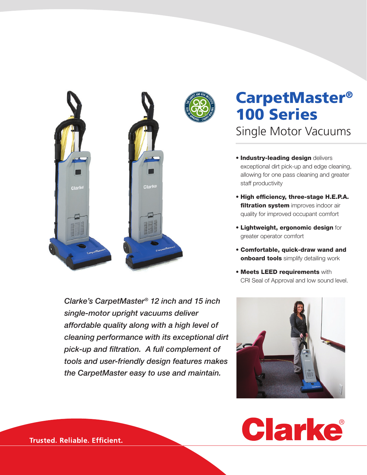



Single Motor Vacuums

- **Industry-leading design delivers** exceptional dirt pick-up and edge cleaning, allowing for one pass cleaning and greater staff productivity
- High efficiency, three-stage H.E.P.A. filtration system improves indoor air quality for improved occupant comfort
- Lightweight, ergonomic design for greater operator comfort
- Comfortable, quick-draw wand and onboard tools simplify detailing work
- **Meets LEED requirements with** CRI Seal of Approval and low sound level.



*Clarke's CarpetMaster® 12 inch and 15 inch single-motor upright vacuums deliver affordable quality along with a high level of cleaning performance with its exceptional dirt pick-up and filtration. A full complement of tools and user-friendly design features makes the CarpetMaster easy to use and maintain.*

**Trusted. Reliable. Efficient.**